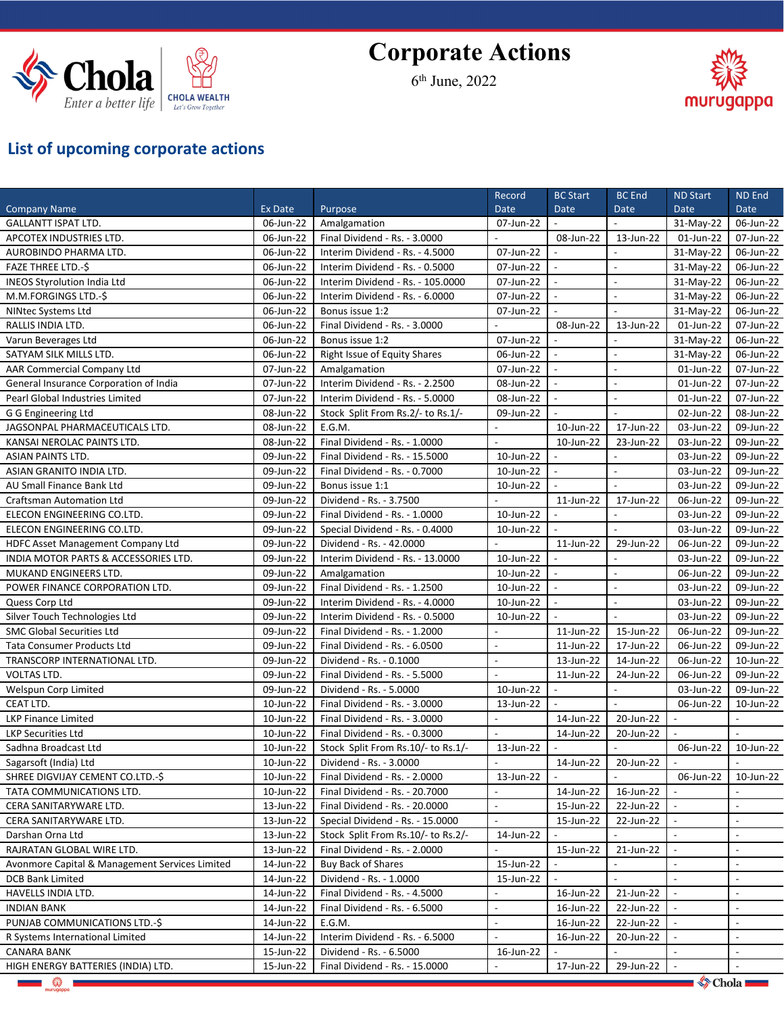

## **Corporate Actions**

6 th June, 2022



## **List of upcoming corporate actions**

|                                                |           |                                                                 | Record                    | <b>BC Start</b> | <b>BC</b> End  | <b>ND Start</b>  | ND End                   |
|------------------------------------------------|-----------|-----------------------------------------------------------------|---------------------------|-----------------|----------------|------------------|--------------------------|
| <b>Company Name</b>                            | Ex Date   | Purpose                                                         | <b>Date</b>               | <b>Date</b>     | Date           | Date             | <b>Date</b>              |
| <b>GALLANTT ISPAT LTD.</b>                     | 06-Jun-22 | Amalgamation                                                    | 07-Jun-22                 |                 |                | 31-May-22        | 06-Jun-22                |
| APCOTEX INDUSTRIES LTD.                        | 06-Jun-22 | Final Dividend - Rs. - 3.0000                                   |                           | 08-Jun-22       | 13-Jun-22      | 01-Jun-22        | 07-Jun-22                |
| AUROBINDO PHARMA LTD.                          | 06-Jun-22 | Interim Dividend - Rs. - 4.5000                                 | 07-Jun-22                 |                 |                | 31-May-22        | 06-Jun-22                |
| <b>FAZE THREE LTD.-\$</b>                      | 06-Jun-22 | Interim Dividend - Rs. - 0.5000                                 | 07-Jun-22                 |                 | $\overline{a}$ | 31-May-22        | 06-Jun-22                |
| INEOS Styrolution India Ltd                    | 06-Jun-22 | Interim Dividend - Rs. - 105.0000                               | 07-Jun-22                 |                 | $\blacksquare$ | 31-May-22        | 06-Jun-22                |
| M.M.FORGINGS LTD.-\$                           | 06-Jun-22 | Interim Dividend - Rs. - 6.0000                                 | 07-Jun-22                 |                 | $\blacksquare$ | 31-May-22        | 06-Jun-22                |
| NINtec Systems Ltd                             | 06-Jun-22 | Bonus issue 1:2                                                 | 07-Jun-22                 |                 |                | 31-May-22        | 06-Jun-22                |
| RALLIS INDIA LTD.                              | 06-Jun-22 | Final Dividend - Rs. - 3.0000                                   |                           | 08-Jun-22       | 13-Jun-22      | 01-Jun-22        | 07-Jun-22                |
| Varun Beverages Ltd                            | 06-Jun-22 | Bonus issue 1:2                                                 | 07-Jun-22                 |                 |                | 31-May-22        | 06-Jun-22                |
| SATYAM SILK MILLS LTD.                         | 06-Jun-22 | Right Issue of Equity Shares                                    | 06-Jun-22                 |                 | $\blacksquare$ | 31-May-22        | 06-Jun-22                |
| AAR Commercial Company Ltd                     | 07-Jun-22 | Amalgamation                                                    | 07-Jun-22                 |                 | $\sim$         | 01-Jun-22        | 07-Jun-22                |
| General Insurance Corporation of India         | 07-Jun-22 | Interim Dividend - Rs. - 2.2500                                 | 08-Jun-22                 |                 |                | 01-Jun-22        | 07-Jun-22                |
| Pearl Global Industries Limited                | 07-Jun-22 | Interim Dividend - Rs. - 5.0000                                 | 08-Jun-22                 |                 | $\sim$         | 01-Jun-22        | 07-Jun-22                |
| G G Engineering Ltd                            | 08-Jun-22 | Stock Split From Rs.2/- to Rs.1/-                               | 09-Jun-22                 |                 |                | 02-Jun-22        | 08-Jun-22                |
| JAGSONPAL PHARMACEUTICALS LTD.                 | 08-Jun-22 | E.G.M.                                                          |                           | 10-Jun-22       | 17-Jun-22      | 03-Jun-22        | 09-Jun-22                |
| KANSAI NEROLAC PAINTS LTD.                     | 08-Jun-22 | Final Dividend - Rs. - 1.0000                                   |                           | 10-Jun-22       | 23-Jun-22      | 03-Jun-22        | 09-Jun-22                |
| <b>ASIAN PAINTS LTD.</b>                       |           |                                                                 |                           |                 |                |                  |                          |
|                                                | 09-Jun-22 | Final Dividend - Rs. - 15.5000<br>Final Dividend - Rs. - 0.7000 | 10-Jun-22                 |                 |                | 03-Jun-22        | 09-Jun-22                |
| ASIAN GRANITO INDIA LTD.                       | 09-Jun-22 |                                                                 | 10-Jun-22                 |                 |                | 03-Jun-22        | 09-Jun-22                |
| AU Small Finance Bank Ltd                      | 09-Jun-22 | Bonus issue 1:1                                                 | 10-Jun-22                 |                 |                | 03-Jun-22        | 09-Jun-22                |
| <b>Craftsman Automation Ltd</b>                | 09-Jun-22 | Dividend - Rs. - 3.7500                                         |                           | 11-Jun-22       | 17-Jun-22      | 06-Jun-22        | 09-Jun-22                |
| ELECON ENGINEERING CO.LTD.                     | 09-Jun-22 | Final Dividend - Rs. - 1.0000                                   | 10-Jun-22                 |                 |                | 03-Jun-22        | 09-Jun-22                |
| ELECON ENGINEERING CO.LTD.                     | 09-Jun-22 | Special Dividend - Rs. - 0.4000                                 | 10-Jun-22                 |                 |                | 03-Jun-22        | 09-Jun-22                |
| <b>HDFC Asset Management Company Ltd</b>       | 09-Jun-22 | Dividend - Rs. - 42.0000                                        |                           | 11-Jun-22       | 29-Jun-22      | 06-Jun-22        | 09-Jun-22                |
| INDIA MOTOR PARTS & ACCESSORIES LTD.           | 09-Jun-22 | Interim Dividend - Rs. - 13.0000                                | 10-Jun-22                 |                 |                | 03-Jun-22        | 09-Jun-22                |
| MUKAND ENGINEERS LTD.                          | 09-Jun-22 | Amalgamation                                                    | 10-Jun-22                 |                 |                | 06-Jun-22        | 09-Jun-22                |
| POWER FINANCE CORPORATION LTD.                 | 09-Jun-22 | Final Dividend - Rs. - 1.2500                                   | 10-Jun-22                 |                 |                | 03-Jun-22        | 09-Jun-22                |
| Quess Corp Ltd                                 | 09-Jun-22 | Interim Dividend - Rs. - 4.0000                                 | 10-Jun-22                 |                 |                | 03-Jun-22        | 09-Jun-22                |
| Silver Touch Technologies Ltd                  | 09-Jun-22 | Interim Dividend - Rs. - 0.5000                                 | 10-Jun-22                 |                 |                | 03-Jun-22        | 09-Jun-22                |
| SMC Global Securities Ltd                      | 09-Jun-22 | Final Dividend - Rs. - 1.2000                                   | $\sim$                    | 11-Jun-22       | 15-Jun-22      | 06-Jun-22        | 09-Jun-22                |
| <b>Tata Consumer Products Ltd</b>              | 09-Jun-22 | Final Dividend - Rs. - 6.0500                                   | $\sim$                    | 11-Jun-22       | 17-Jun-22      | 06-Jun-22        | 09-Jun-22                |
| TRANSCORP INTERNATIONAL LTD.                   | 09-Jun-22 | Dividend - Rs. - 0.1000                                         | $\sim$                    | 13-Jun-22       | 14-Jun-22      | 06-Jun-22        | 10-Jun-22                |
| VOLTAS LTD.                                    | 09-Jun-22 | Final Dividend - Rs. - 5.5000                                   |                           | 11-Jun-22       | 24-Jun-22      | 06-Jun-22        | 09-Jun-22                |
| Welspun Corp Limited                           | 09-Jun-22 | Dividend - Rs. - 5.0000                                         | 10-Jun-22                 |                 |                | 03-Jun-22        | 09-Jun-22                |
| CEAT LTD.                                      | 10-Jun-22 | Final Dividend - Rs. - 3.0000                                   | 13-Jun-22                 |                 |                | 06-Jun-22        | 10-Jun-22                |
| LKP Finance Limited                            | 10-Jun-22 | Final Dividend - Rs. - 3.0000                                   |                           | 14-Jun-22       | 20-Jun-22      |                  |                          |
| <b>LKP Securities Ltd</b>                      | 10-Jun-22 | Final Dividend - Rs. - 0.3000                                   |                           | 14-Jun-22       | 20-Jun-22      |                  |                          |
| Sadhna Broadcast Ltd                           | 10-Jun-22 | Stock Split From Rs.10/- to Rs.1/-                              | 13-Jun-22                 |                 |                | 06-Jun-22        | 10-Jun-22                |
| Sagarsoft (India) Ltd                          |           | 10-Jun-22   Dividend - Rs. - 3.0000                             |                           | $14$ -Jun-22    | 20-Jun-22      |                  |                          |
| SHREE DIGVIJAY CEMENT CO.LTD.-\$               | 10-Jun-22 | Final Dividend - Rs. - 2.0000                                   | 13-Jun-22                 |                 |                | 06-Jun-22        | 10-Jun-22                |
| TATA COMMUNICATIONS LTD.                       | 10-Jun-22 | Final Dividend - Rs. - 20.7000                                  |                           | 14-Jun-22       | 16-Jun-22      |                  |                          |
| CERA SANITARYWARE LTD.                         | 13-Jun-22 | Final Dividend - Rs. - 20.0000                                  |                           | 15-Jun-22       | 22-Jun-22      |                  | $\sim$                   |
| CERA SANITARYWARE LTD.                         | 13-Jun-22 | Special Dividend - Rs. - 15.0000                                |                           | 15-Jun-22       | 22-Jun-22      |                  |                          |
| Darshan Orna Ltd                               | 13-Jun-22 | Stock Split From Rs.10/- to Rs.2/-                              | 14-Jun-22                 |                 |                |                  | $\sim$                   |
| RAJRATAN GLOBAL WIRE LTD.                      | 13-Jun-22 | Final Dividend - Rs. - 2.0000                                   |                           | 15-Jun-22       | 21-Jun-22      |                  | $\sim$                   |
| Avonmore Capital & Management Services Limited | 14-Jun-22 | <b>Buy Back of Shares</b>                                       | 15-Jun-22                 |                 |                |                  | $\sim$                   |
| <b>DCB Bank Limited</b>                        | 14-Jun-22 | Dividend - Rs. - 1.0000                                         | 15-Jun-22                 |                 |                |                  |                          |
| HAVELLS INDIA LTD.                             | 14-Jun-22 | Final Dividend - Rs. - 4.5000                                   |                           | 16-Jun-22       | 21-Jun-22      |                  |                          |
| <b>INDIAN BANK</b>                             |           |                                                                 | $\mathbb{Z}^{\mathbb{Z}}$ | 16-Jun-22       | 22-Jun-22      |                  | $\sim$                   |
| PUNJAB COMMUNICATIONS LTD.-\$                  | 14-Jun-22 | Final Dividend - Rs. - 6.5000                                   | $\sim$                    |                 |                |                  |                          |
|                                                | 14-Jun-22 | E.G.M.                                                          |                           | 16-Jun-22       | 22-Jun-22      |                  | $\overline{\phantom{a}}$ |
| R Systems International Limited                | 14-Jun-22 | Interim Dividend - Rs. - 6.5000                                 |                           | 16-Jun-22       | 20-Jun-22      |                  | $\overline{\phantom{a}}$ |
| <b>CANARA BANK</b>                             | 15-Jun-22 | Dividend - Rs. - 6.5000                                         | 16-Jun-22                 |                 |                |                  |                          |
| HIGH ENERGY BATTERIES (INDIA) LTD.             | 15-Jun-22 | Final Dividend - Rs. - 15.0000                                  |                           | 17-Jun-22       | 29-Jun-22      |                  |                          |
| <b>The Second Second Second</b>                |           |                                                                 |                           |                 |                | $\diamond$ Chola |                          |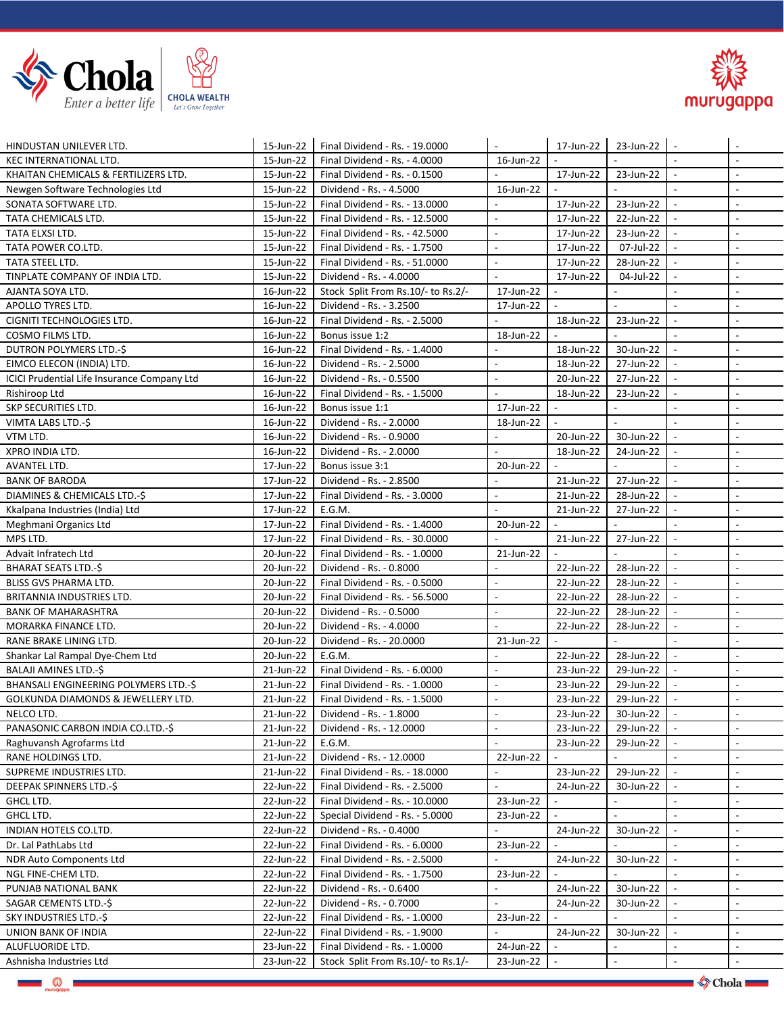



| HINDUSTAN UNILEVER LTD.                        | 15-Jun-22              | Final Dividend - Rs. - 19.0000                                  |                             | 17-Jun-22                   | 23-Jun-22      |                          |                                    |
|------------------------------------------------|------------------------|-----------------------------------------------------------------|-----------------------------|-----------------------------|----------------|--------------------------|------------------------------------|
| <b>KEC INTERNATIONAL LTD.</b>                  | 15-Jun-22              | Final Dividend - Rs. - 4.0000                                   | 16-Jun-22                   |                             |                |                          | $\overline{\phantom{a}}$           |
| KHAITAN CHEMICALS & FERTILIZERS LTD.           | 15-Jun-22              | Final Dividend - Rs. - 0.1500                                   | L.                          | 17-Jun-22                   | 23-Jun-22      | $\blacksquare$           | $\mathbb{Z}^2$                     |
| Newgen Software Technologies Ltd               | 15-Jun-22              | Dividend - Rs. - 4.5000                                         | 16-Jun-22                   | $\overline{a}$              |                |                          | $\blacksquare$                     |
| SONATA SOFTWARE LTD.                           | 15-Jun-22              | Final Dividend - Rs. - 13.0000                                  |                             | 17-Jun-22                   | 23-Jun-22      | $\overline{\phantom{a}}$ | $\overline{\phantom{a}}$           |
| TATA CHEMICALS LTD.                            | 15-Jun-22              | Final Dividend - Rs. - 12.5000                                  | $\overline{\phantom{a}}$    | 17-Jun-22                   | 22-Jun-22      | $\overline{\phantom{a}}$ | $\overline{\phantom{a}}$           |
| TATA ELXSI LTD.                                | 15-Jun-22              | Final Dividend - Rs. - 42.5000                                  | $\blacksquare$              | 17-Jun-22                   | 23-Jun-22      | $\blacksquare$           | $\blacksquare$                     |
| TATA POWER CO.LTD.                             | 15-Jun-22              | Final Dividend - Rs. - 1.7500                                   | $\overline{\phantom{a}}$    | 17-Jun-22                   | 07-Jul-22      | $\sim$                   | $\overline{\phantom{a}}$           |
| TATA STEEL LTD.                                | 15-Jun-22              | Final Dividend - Rs. - 51.0000                                  | $\overline{\phantom{a}}$    | 17-Jun-22                   | 28-Jun-22      |                          | $\overline{\phantom{a}}$           |
| TINPLATE COMPANY OF INDIA LTD.                 | 15-Jun-22              | Dividend - Rs. - 4.0000                                         |                             | 17-Jun-22                   | 04-Jul-22      |                          | $\overline{\phantom{a}}$           |
| AJANTA SOYA LTD.                               | 16-Jun-22              | Stock Split From Rs.10/- to Rs.2/-                              | 17-Jun-22                   | $\sim$                      |                |                          | $\overline{\phantom{a}}$           |
| APOLLO TYRES LTD.                              | 16-Jun-22              | Dividend - Rs. - 3.2500                                         | 17-Jun-22                   | $\overline{a}$              | $\overline{a}$ | $\mathbf{r}$             | $\mathbb{Z}^2$                     |
| CIGNITI TECHNOLOGIES LTD.                      | 16-Jun-22              | Final Dividend - Rs. - 2.5000                                   | $\overline{a}$              | 18-Jun-22                   | 23-Jun-22      | $\overline{\phantom{a}}$ | $\sim$                             |
| COSMO FILMS LTD.                               | 16-Jun-22              | Bonus issue 1:2                                                 | 18-Jun-22                   |                             |                | $\blacksquare$           | $\blacksquare$                     |
| DUTRON POLYMERS LTD.-\$                        | 16-Jun-22              | Final Dividend - Rs. - 1.4000                                   |                             | 18-Jun-22                   | 30-Jun-22      | $\overline{\phantom{a}}$ | $\overline{\phantom{a}}$           |
| EIMCO ELECON (INDIA) LTD.                      | 16-Jun-22              | Dividend - Rs. - 2.5000                                         | $\overline{a}$              | 18-Jun-22                   | 27-Jun-22      |                          | $\sim$                             |
| ICICI Prudential Life Insurance Company Ltd    | 16-Jun-22              | Dividend - Rs. - 0.5500                                         | $\overline{\phantom{a}}$    | 20-Jun-22                   | 27-Jun-22      | $\sim$                   | $\blacksquare$                     |
| Rishiroop Ltd                                  | 16-Jun-22              | Final Dividend - Rs. - 1.5000                                   | $\overline{a}$              | 18-Jun-22                   | 23-Jun-22      | $\overline{\phantom{a}}$ | $\overline{\phantom{a}}$           |
| SKP SECURITIES LTD.                            | 16-Jun-22              | Bonus issue 1:1                                                 | 17-Jun-22                   | $\blacksquare$              |                |                          | $\overline{\phantom{a}}$           |
| VIMTA LABS LTD.-\$                             | 16-Jun-22              | Dividend - Rs. - 2.0000                                         | 18-Jun-22                   |                             |                |                          | $\overline{\phantom{a}}$           |
| VTM LTD.                                       | 16-Jun-22              | Dividend - Rs. - 0.9000                                         | $\mathcal{L}$               | 20-Jun-22                   | 30-Jun-22      | $\sim$                   | $\overline{\phantom{a}}$           |
| XPRO INDIA LTD.                                | 16-Jun-22              | Dividend - Rs. - 2.0000                                         | $\Box$                      | 18-Jun-22                   | 24-Jun-22      | $\mathbf{r}$             | $\sim$                             |
| AVANTEL LTD.                                   | 17-Jun-22              | Bonus issue 3:1                                                 | 20-Jun-22                   | $\overline{a}$              |                | $\sim$                   | $\sim$                             |
| <b>BANK OF BARODA</b>                          | 17-Jun-22              | Dividend - Rs. - 2.8500                                         | $\overline{a}$              | 21-Jun-22                   | 27-Jun-22      | $\blacksquare$           | $\sim$                             |
| DIAMINES & CHEMICALS LTD.-\$                   | 17-Jun-22              | Final Dividend - Rs. - 3.0000                                   | $\overline{\phantom{a}}$    | 21-Jun-22                   | 28-Jun-22      |                          | $\overline{\phantom{a}}$           |
| Kkalpana Industries (India) Ltd                | 17-Jun-22              | E.G.M.                                                          |                             | 21-Jun-22                   | 27-Jun-22      | $\overline{\phantom{a}}$ | $\overline{\phantom{a}}$           |
| Meghmani Organics Ltd                          | 17-Jun-22              | Final Dividend - Rs. - 1.4000                                   | 20-Jun-22                   |                             |                | $\sim$                   | $\overline{\phantom{a}}$           |
| MPS LTD.                                       | 17-Jun-22              | Final Dividend - Rs. - 30.0000                                  |                             | 21-Jun-22                   | 27-Jun-22      | $\overline{\phantom{a}}$ | $\blacksquare$                     |
| Advait Infratech Ltd                           | 20-Jun-22              | Final Dividend - Rs. - 1.0000                                   | 21-Jun-22                   |                             |                |                          | $\overline{\phantom{a}}$           |
| <b>BHARAT SEATS LTD.-\$</b>                    | 20-Jun-22              | Dividend - Rs. - 0.8000                                         |                             | 22-Jun-22                   | 28-Jun-22      |                          | $\overline{\phantom{a}}$           |
| <b>BLISS GVS PHARMA LTD.</b>                   | 20-Jun-22              | Final Dividend - Rs. - 0.5000                                   | $\overline{a}$              | 22-Jun-22                   | 28-Jun-22      |                          | $\overline{\phantom{a}}$           |
| BRITANNIA INDUSTRIES LTD.                      | 20-Jun-22              | Final Dividend - Rs. - 56.5000                                  | $\overline{\phantom{a}}$    | 22-Jun-22                   | 28-Jun-22      |                          | $\overline{\phantom{a}}$           |
| <b>BANK OF MAHARASHTRA</b>                     | 20-Jun-22              | Dividend - Rs. - 0.5000                                         | $\overline{a}$              | 22-Jun-22                   | 28-Jun-22      |                          | $\blacksquare$                     |
| MORARKA FINANCE LTD.                           | 20-Jun-22              | Dividend - Rs. - 4.0000                                         |                             | 22-Jun-22                   | 28-Jun-22      |                          | $\overline{\phantom{a}}$           |
| RANE BRAKE LINING LTD.                         | 20-Jun-22              | Dividend - Rs. - 20.0000                                        | 21-Jun-22                   |                             |                |                          | $\overline{\phantom{a}}$           |
| Shankar Lal Rampal Dye-Chem Ltd                | 20-Jun-22              | E.G.M.                                                          | $\overline{a}$              | 22-Jun-22                   | 28-Jun-22      | $\sim$                   | $\sim$                             |
| BALAJI AMINES LTD.-\$                          | 21-Jun-22              | Final Dividend - Rs. - 6.0000                                   | $\overline{\phantom{a}}$    | 23-Jun-22                   | 29-Jun-22      | $\sim$                   | $\overline{\phantom{a}}$           |
| BHANSALI ENGINEERING POLYMERS LTD.-\$          | 21-Jun-22              | Final Dividend - Rs. - 1.0000                                   | $\overline{\phantom{a}}$    | 23-Jun-22                   | 29-Jun-22      |                          | $\overline{\phantom{a}}$           |
| GOLKUNDA DIAMONDS & JEWELLERY LTD.             | 21-Jun-22              | Final Dividend - Rs. - 1.5000                                   |                             | 23-Jun-22                   | 29-Jun-22      |                          | $\overline{\phantom{a}}$           |
| NELCO LTD.                                     | 21-Jun-22              | Dividend - Rs. - 1.8000                                         |                             | 23-Jun-22                   | 30-Jun-22      |                          | $\overline{\phantom{a}}$           |
| PANASONIC CARBON INDIA CO.LTD.-\$              | 21-Jun-22              | Dividend - Rs. - 12.0000                                        | $\overline{a}$              | 23-Jun-22                   | 29-Jun-22      |                          | $\mathbb{Z}^2$                     |
|                                                |                        | E.G.M.                                                          | $\overline{a}$              | 23-Jun-22                   |                |                          | $\sim$                             |
| Raghuvansh Agrofarms Ltd<br>RANE HOLDINGS LTD. | 21-Jun-22<br>21-Jun-22 | Dividend - Rs. - 12.0000                                        | 22-Jun-22                   |                             | 29-Jun-22      |                          | $\sim$                             |
| SUPREME INDUSTRIES LTD.                        | 21-Jun-22              | Final Dividend - Rs. - 18.0000                                  |                             | 23-Jun-22                   | 29-Jun-22      |                          | $\overline{\phantom{a}}$           |
|                                                |                        |                                                                 |                             |                             |                |                          | $\blacksquare$                     |
| DEEPAK SPINNERS LTD.-\$<br>GHCL LTD.           | 22-Jun-22<br>22-Jun-22 | Final Dividend - Rs. - 2.5000<br>Final Dividend - Rs. - 10.0000 | 23-Jun-22                   | 24-Jun-22<br>$\blacksquare$ | 30-Jun-22      | $\blacksquare$           | $\sim$                             |
| GHCL LTD.                                      | 22-Jun-22              | Special Dividend - Rs. - 5.0000                                 | 23-Jun-22                   |                             |                |                          | $\overline{\phantom{a}}$           |
|                                                | 22-Jun-22              |                                                                 |                             |                             |                |                          | $\blacksquare$                     |
| INDIAN HOTELS CO.LTD.                          | 22-Jun-22              | Dividend - Rs. - 0.4000                                         |                             | 24-Jun-22                   | 30-Jun-22      |                          |                                    |
| Dr. Lal PathLabs Ltd                           |                        | Final Dividend - Rs. - 6.0000                                   | 23-Jun-22                   |                             |                |                          | $\overline{a}$                     |
| NDR Auto Components Ltd                        | 22-Jun-22              | Final Dividend - Rs. - 2.5000                                   |                             | 24-Jun-22                   | 30-Jun-22      |                          |                                    |
| NGL FINE-CHEM LTD.                             | 22-Jun-22              | Final Dividend - Rs. - 1.7500                                   | 23-Jun-22<br>$\overline{a}$ |                             |                |                          | $\overline{\phantom{a}}$           |
| PUNJAB NATIONAL BANK                           | 22-Jun-22              | Dividend - Rs. - 0.6400                                         | $\overline{\phantom{a}}$    | 24-Jun-22                   | 30-Jun-22      |                          | $\overline{\phantom{a}}$<br>$\sim$ |
| SAGAR CEMENTS LTD.-\$                          | 22-Jun-22              | Dividend - Rs. - 0.7000                                         |                             | 24-Jun-22                   | 30-Jun-22      |                          |                                    |
| SKY INDUSTRIES LTD.-\$                         | 22-Jun-22              | Final Dividend - Rs. - 1.0000                                   | 23-Jun-22                   |                             |                |                          | $\overline{\phantom{a}}$           |
| UNION BANK OF INDIA                            | 22-Jun-22              | Final Dividend - Rs. - 1.9000                                   |                             | 24-Jun-22                   | 30-Jun-22      | $\overline{\phantom{a}}$ | $\blacksquare$                     |
| ALUFLUORIDE LTD.                               | 23-Jun-22              | Final Dividend - Rs. - 1.0000                                   | 24-Jun-22                   |                             |                | $\sim$                   | $\overline{\phantom{a}}$           |
| Ashnisha Industries Ltd                        | 23-Jun-22              | Stock Split From Rs.10/- to Rs.1/-                              | 23-Jun-22                   |                             |                |                          | $\overline{\phantom{a}}$           |

**《**》<br>……aappa

 $\longrightarrow$  Chola

ستعاد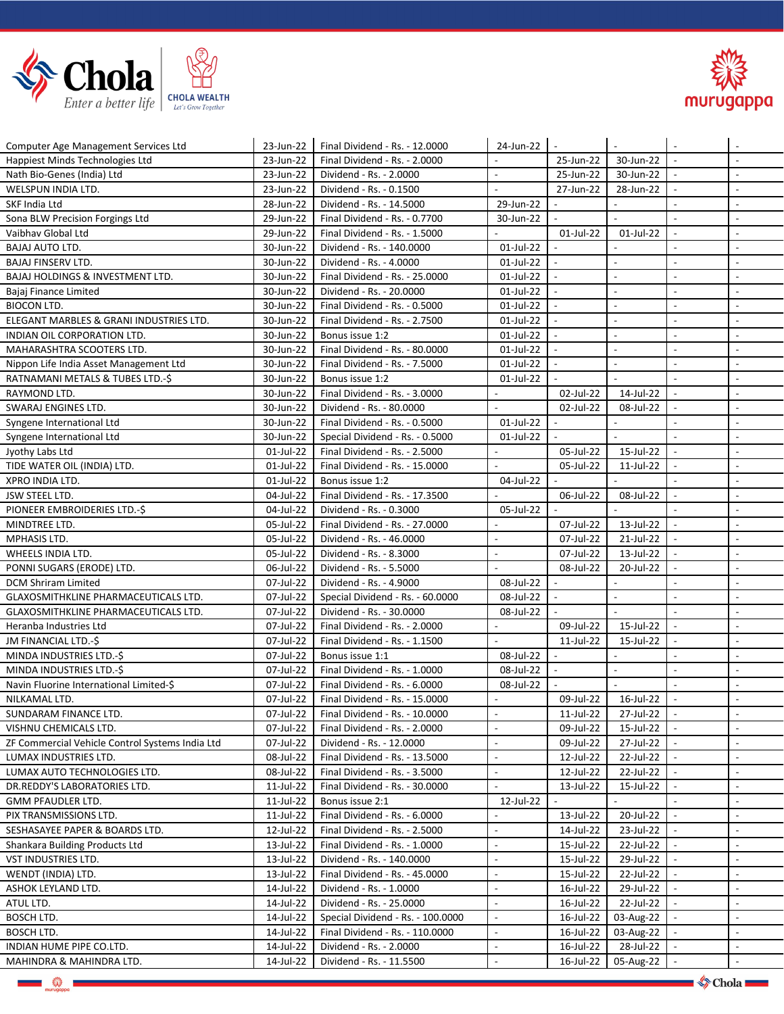



| Computer Age Management Services Ltd                                       | 23-Jun-22              | Final Dividend - Rs. - 12.0000                   | 24-Jun-22                | $\overline{\phantom{a}}$    |                           | $\sim$                   |                          |
|----------------------------------------------------------------------------|------------------------|--------------------------------------------------|--------------------------|-----------------------------|---------------------------|--------------------------|--------------------------|
| Happiest Minds Technologies Ltd                                            | 23-Jun-22              | Final Dividend - Rs. - 2.0000                    |                          | 25-Jun-22                   | 30-Jun-22                 |                          | $\overline{a}$           |
| Nath Bio-Genes (India) Ltd                                                 | 23-Jun-22              | Dividend - Rs. - 2.0000                          | $\overline{a}$           | 25-Jun-22                   | 30-Jun-22                 | $\sim$                   | $\overline{a}$           |
| WELSPUN INDIA LTD.                                                         | 23-Jun-22              | Dividend - Rs. - 0.1500                          |                          | 27-Jun-22                   | 28-Jun-22                 | $\overline{\phantom{a}}$ | $\overline{\phantom{a}}$ |
| SKF India Ltd                                                              | 28-Jun-22              | Dividend - Rs. - 14.5000                         | 29-Jun-22                | $\blacksquare$              | $\mathbf{r}$              | $\sim$                   | $\sim$                   |
| Sona BLW Precision Forgings Ltd                                            | 29-Jun-22              | Final Dividend - Rs. - 0.7700                    | 30-Jun-22                | $\overline{a}$              | $\mathbb{Z}^2$            | $\blacksquare$           | $\overline{\phantom{a}}$ |
| Vaibhav Global Ltd                                                         | 29-Jun-22              | Final Dividend - Rs. - 1.5000                    |                          | 01-Jul-22                   | 01-Jul-22                 | $\overline{a}$           | $\overline{\phantom{a}}$ |
| BAJAJ AUTO LTD.                                                            | 30-Jun-22              | Dividend - Rs. - 140.0000                        | 01-Jul-22                |                             |                           | $\overline{\phantom{a}}$ | $\overline{\phantom{a}}$ |
| <b>BAJAJ FINSERV LTD.</b>                                                  | 30-Jun-22              | Dividend - Rs. - 4.0000                          | 01-Jul-22                |                             | $\blacksquare$            | $\overline{\phantom{a}}$ | $\overline{\phantom{a}}$ |
| <b>BAJAJ HOLDINGS &amp; INVESTMENT LTD.</b>                                | 30-Jun-22              | Final Dividend - Rs. - 25.0000                   | 01-Jul-22                | $\mathcal{L}_{\mathcal{A}}$ | $\overline{\phantom{a}}$  | $\sim$                   | $\sim$                   |
|                                                                            |                        | Dividend - Rs. - 20.0000                         | 01-Jul-22                | $\blacksquare$              | $\blacksquare$            | $\overline{\phantom{a}}$ | $\overline{\phantom{a}}$ |
| Bajaj Finance Limited<br><b>BIOCON LTD.</b>                                | 30-Jun-22<br>30-Jun-22 | Final Dividend - Rs. - 0.5000                    | 01-Jul-22                | $\sim$                      | $\mathbf{r}$              | $\sim$                   | $\overline{a}$           |
| ELEGANT MARBLES & GRANI INDUSTRIES LTD.                                    | 30-Jun-22              | Final Dividend - Rs. - 2.7500                    | 01-Jul-22                | $\sim$                      | $\overline{\phantom{a}}$  | $\overline{\phantom{a}}$ | $\overline{\phantom{a}}$ |
| INDIAN OIL CORPORATION LTD.                                                | 30-Jun-22              | Bonus issue 1:2                                  | 01-Jul-22                | $\mathbb{L}$                | $\overline{a}$            | $\sim$                   | $\overline{a}$           |
|                                                                            |                        |                                                  |                          | $\overline{a}$              | $\mathbb{Z}^2$            | $\sim$                   | $\sim$                   |
| MAHARASHTRA SCOOTERS LTD.                                                  | 30-Jun-22              | Final Dividend - Rs. - 80.0000                   | 01-Jul-22                | $\blacksquare$              | $\blacksquare$            | $\blacksquare$           | $\sim$                   |
| Nippon Life India Asset Management Ltd<br>RATNAMANI METALS & TUBES LTD.-\$ | 30-Jun-22<br>30-Jun-22 | Final Dividend - Rs. - 7.5000<br>Bonus issue 1:2 | 01-Jul-22<br>01-Jul-22   |                             | $\blacksquare$            | $\blacksquare$           | $\overline{\phantom{a}}$ |
|                                                                            |                        |                                                  |                          |                             |                           |                          |                          |
| RAYMOND LTD.                                                               | 30-Jun-22              | Final Dividend - Rs. - 3.0000                    | $\overline{a}$           | 02-Jul-22                   | 14-Jul-22                 | $\overline{\phantom{a}}$ | $\overline{\phantom{a}}$ |
| SWARAJ ENGINES LTD.                                                        | 30-Jun-22              | Dividend - Rs. - 80.0000                         |                          | 02-Jul-22<br>$\sim$         | 08-Jul-22                 | $\sim$                   | $\sim$                   |
| Syngene International Ltd                                                  | 30-Jun-22              | Final Dividend - Rs. - 0.5000                    | 01-Jul-22                |                             | $\mathbf{r}$              | $\blacksquare$           | $\overline{\phantom{a}}$ |
| Syngene International Ltd                                                  | 30-Jun-22              | Special Dividend - Rs. - 0.5000                  | 01-Jul-22                |                             |                           | $\blacksquare$           | $\overline{\phantom{a}}$ |
| Jyothy Labs Ltd                                                            | 01-Jul-22              | Final Dividend - Rs. - 2.5000                    | $\overline{\phantom{a}}$ | 05-Jul-22                   | 15-Jul-22                 | $\sim$                   | $\overline{a}$           |
| TIDE WATER OIL (INDIA) LTD.                                                | 01-Jul-22              | Final Dividend - Rs. - 15.0000                   |                          | 05-Jul-22                   | 11-Jul-22<br>$\mathbf{r}$ | $\overline{\phantom{a}}$ | $\overline{\phantom{a}}$ |
| XPRO INDIA LTD.                                                            | 01-Jul-22              | Bonus issue 1:2                                  | 04-Jul-22                | $\overline{a}$              |                           | $\mathcal{L}$            | $\sim$                   |
| <b>JSW STEEL LTD.</b>                                                      | 04-Jul-22              | Final Dividend - Rs. - 17.3500                   |                          | 06-Jul-22                   | 08-Jul-22                 | $\blacksquare$           | $\overline{\phantom{a}}$ |
| PIONEER EMBROIDERIES LTD.-\$                                               | 04-Jul-22              | Dividend - Rs. - 0.3000                          | 05-Jul-22                |                             |                           | $\sim$                   | $\overline{a}$           |
| MINDTREE LTD.                                                              | 05-Jul-22              | Final Dividend - Rs. - 27.0000                   |                          | 07-Jul-22                   | 13-Jul-22                 | $\overline{\phantom{a}}$ | $\blacksquare$           |
| MPHASIS LTD.                                                               | 05-Jul-22              | Dividend - Rs. - 46.0000                         | $\blacksquare$           | 07-Jul-22                   | 21-Jul-22                 | $\overline{\phantom{a}}$ | $\overline{\phantom{a}}$ |
| WHEELS INDIA LTD.                                                          | 05-Jul-22              | Dividend - Rs. - 8.3000                          | $\blacksquare$           | 07-Jul-22                   | 13-Jul-22                 | $\blacksquare$           | $\overline{\phantom{a}}$ |
| PONNI SUGARS (ERODE) LTD.                                                  | 06-Jul-22              | Dividend - Rs. - 5.5000                          | $\sim$                   | 08-Jul-22                   | 20-Jul-22                 | $\overline{\phantom{a}}$ | $\overline{\phantom{a}}$ |
| <b>DCM Shriram Limited</b>                                                 | 07-Jul-22              | Dividend - Rs. - 4.9000                          | 08-Jul-22                |                             |                           | $\overline{\phantom{a}}$ | $\overline{a}$           |
| GLAXOSMITHKLINE PHARMACEUTICALS LTD.                                       | 07-Jul-22              | Special Dividend - Rs. - 60.0000                 | 08-Jul-22                | $\blacksquare$              | $\overline{\phantom{a}}$  | $\overline{\phantom{a}}$ | $\overline{\phantom{a}}$ |
| GLAXOSMITHKLINE PHARMACEUTICALS LTD.                                       | 07-Jul-22              | Dividend - Rs. - 30.0000                         | 08-Jul-22                |                             |                           | $\sim$                   | $\sim$                   |
| Heranba Industries Ltd                                                     | 07-Jul-22              | Final Dividend - Rs. - 2.0000                    | $\mathbb{L}$             | 09-Jul-22                   | 15-Jul-22                 | $\overline{\phantom{a}}$ | $\overline{\phantom{a}}$ |
| JM FINANCIAL LTD.-\$                                                       | 07-Jul-22              | Final Dividend - Rs. - 1.1500                    | $\overline{a}$           | $11$ -Jul-22                | 15-Jul-22                 | $\overline{\phantom{a}}$ | $\overline{\phantom{a}}$ |
| MINDA INDUSTRIES LTD.-\$                                                   | 07-Jul-22              | Bonus issue 1:1                                  | 08-Jul-22                | $\overline{\phantom{a}}$    |                           | $\sim$                   | $\overline{\phantom{a}}$ |
| MINDA INDUSTRIES LTD.-\$                                                   | 07-Jul-22              | Final Dividend - Rs. - 1.0000                    | 08-Jul-22                | $\overline{\phantom{a}}$    | $\overline{\phantom{a}}$  | $\overline{\phantom{a}}$ | $\overline{\phantom{a}}$ |
| Navin Fluorine International Limited-\$                                    | 07-Jul-22              | Final Dividend - Rs. - 6.0000                    | 08-Jul-22                |                             |                           | $\blacksquare$           | $\sim$                   |
| NILKAMAL LTD.                                                              | 07-Jul-22              | Final Dividend - Rs. - 15,0000                   | $\sim$                   | 09-Jul-22                   | 16-Jul-22                 | $\overline{\phantom{a}}$ | $\sim$                   |
| SUNDARAM FINANCE LTD.                                                      | 07-Jul-22              | Final Dividend - Rs. - 10.0000                   | $\overline{\phantom{a}}$ | 11-Jul-22                   | 27-Jul-22                 | $\sim$                   | $\overline{\phantom{a}}$ |
| VISHNU CHEMICALS LTD.                                                      | 07-Jul-22              | Final Dividend - Rs. - 2.0000                    |                          | 09-Jul-22                   | 15-Jul-22                 |                          |                          |
| ZF Commercial Vehicle Control Systems India Ltd                            | 07-Jul-22              | Dividend - Rs. - 12.0000                         | $\overline{a}$           | 09-Jul-22                   | 27-Jul-22                 |                          |                          |
| LUMAX INDUSTRIES LTD.                                                      | 08-Jul-22              | Final Dividend - Rs. - 13.5000                   | $\bar{\phantom{a}}$      | 12-Jul-22                   | 22-Jul-22                 |                          | $\overline{\phantom{a}}$ |
| LUMAX AUTO TECHNOLOGIES LTD.                                               | 08-Jul-22              | Final Dividend - Rs. - 3.5000                    | $\blacksquare$           | 12-Jul-22                   | 22-Jul-22                 |                          | $\overline{\phantom{a}}$ |
| DR.REDDY'S LABORATORIES LTD.                                               | 11-Jul-22              | Final Dividend - Rs. - 30.0000                   | $\overline{a}$           | 13-Jul-22                   | 15-Jul-22                 |                          | $\overline{\phantom{a}}$ |
| GMM PFAUDLER LTD.                                                          | 11-Jul-22              | Bonus issue 2:1                                  | 12-Jul-22                |                             |                           | $\sim$                   | $\overline{\phantom{a}}$ |
| PIX TRANSMISSIONS LTD.                                                     | 11-Jul-22              | Final Dividend - Rs. - 6.0000                    |                          | 13-Jul-22                   | 20-Jul-22                 | $\sim$                   | $\overline{\phantom{a}}$ |
| SESHASAYEE PAPER & BOARDS LTD.                                             | 12-Jul-22              | Final Dividend - Rs. - 2.5000                    | $\blacksquare$           | 14-Jul-22                   | 23-Jul-22                 | $\sim$                   | $\blacksquare$           |
| Shankara Building Products Ltd                                             | 13-Jul-22              | Final Dividend - Rs. - 1.0000                    | $\blacksquare$           | 15-Jul-22                   | 22-Jul-22                 |                          | $\overline{\phantom{a}}$ |
| VST INDUSTRIES LTD.                                                        | 13-Jul-22              | Dividend - Rs. - 140.0000                        | $\blacksquare$           | 15-Jul-22                   | 29-Jul-22                 |                          | $\overline{\phantom{a}}$ |
| WENDT (INDIA) LTD.                                                         | 13-Jul-22              | Final Dividend - Rs. - 45.0000                   | $\blacksquare$           | 15-Jul-22                   | 22-Jul-22                 |                          | $\blacksquare$           |
| ASHOK LEYLAND LTD.                                                         | 14-Jul-22              | Dividend - Rs. - 1.0000                          | $\overline{\phantom{a}}$ | 16-Jul-22                   | 29-Jul-22                 |                          | $\overline{\phantom{a}}$ |
| ATUL LTD.                                                                  | 14-Jul-22              | Dividend - Rs. - 25.0000                         | $\mathbb{L}$             | 16-Jul-22                   | 22-Jul-22                 |                          | $\overline{\phantom{a}}$ |
| BOSCH LTD.                                                                 | 14-Jul-22              | Special Dividend - Rs. - 100.0000                | $\overline{\phantom{a}}$ | 16-Jul-22                   | 03-Aug-22                 |                          | $\overline{\phantom{a}}$ |
| BOSCH LTD.                                                                 | 14-Jul-22              | Final Dividend - Rs. - 110.0000                  | $\overline{\phantom{a}}$ | 16-Jul-22                   | 03-Aug-22                 | $\sim$                   | $\sim$                   |
| INDIAN HUME PIPE CO.LTD.                                                   | 14-Jul-22              | Dividend - Rs. - 2.0000                          | $\overline{\phantom{a}}$ | 16-Jul-22                   | 28-Jul-22                 | $\sim$                   | $\overline{\phantom{a}}$ |
| MAHINDRA & MAHINDRA LTD.                                                   | 14-Jul-22              | Dividend - Rs. - 11.5500                         | $\overline{\phantom{a}}$ | 16-Jul-22                   | $05$ -Aug-22   -          |                          | $\overline{\phantom{a}}$ |

**檾**∣

 $\bullet$  Chola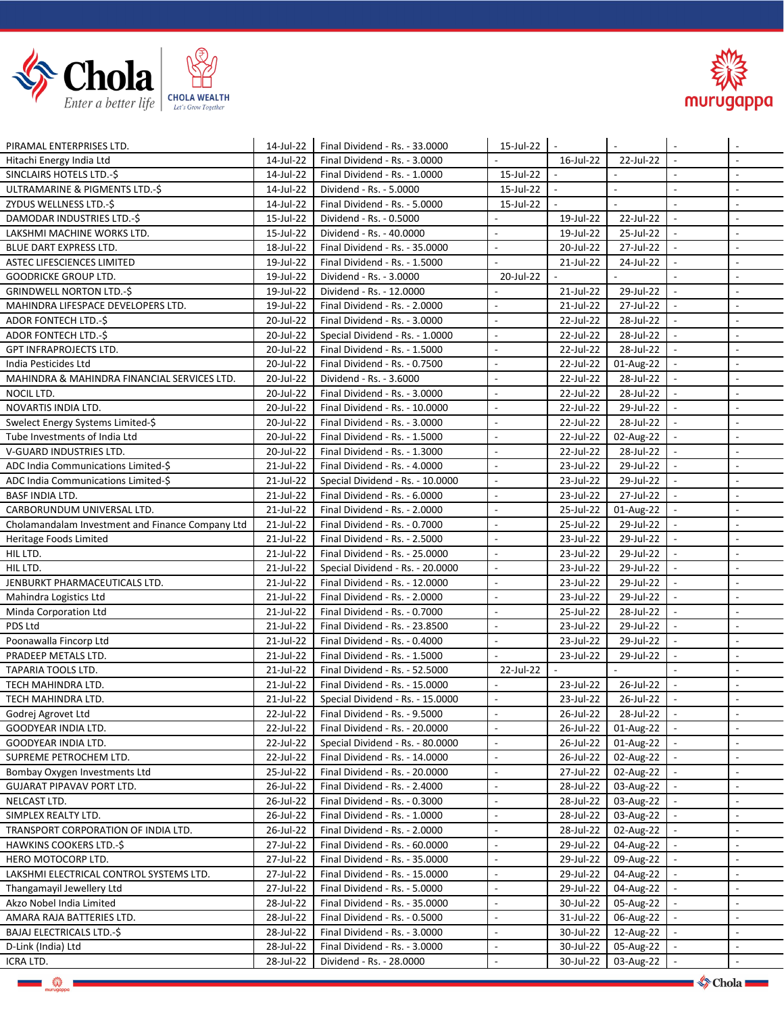



| PIRAMAL ENTERPRISES LTD.                         | 14-Jul-22 | Final Dividend - Rs. - 33.0000   | 15-Jul-22                | $\sim$                    |                |                          | $\sim$                      |
|--------------------------------------------------|-----------|----------------------------------|--------------------------|---------------------------|----------------|--------------------------|-----------------------------|
| Hitachi Energy India Ltd                         | 14-Jul-22 | Final Dividend - Rs. - 3.0000    |                          | 16-Jul-22                 | 22-Jul-22      | $\blacksquare$           | $\overline{\phantom{a}}$    |
| SINCLAIRS HOTELS LTD.-\$                         | 14-Jul-22 | Final Dividend - Rs. - 1.0000    | 15-Jul-22                | $\mathbb{L}^{\mathbb{N}}$ |                | $\overline{\phantom{a}}$ | $\blacksquare$              |
| ULTRAMARINE & PIGMENTS LTD.-\$                   | 14-Jul-22 | Dividend - Rs. - 5.0000          | 15-Jul-22                | $\overline{\phantom{a}}$  | $\overline{a}$ | $\overline{\phantom{a}}$ | $\overline{\phantom{a}}$    |
| ZYDUS WELLNESS LTD.-\$                           | 14-Jul-22 | Final Dividend - Rs. - 5.0000    | 15-Jul-22                | $\blacksquare$            |                | $\overline{\phantom{a}}$ | $\blacksquare$              |
| DAMODAR INDUSTRIES LTD.-\$                       | 15-Jul-22 | Dividend - Rs. - 0.5000          |                          | 19-Jul-22                 | 22-Jul-22      | $\sim$                   | $\blacksquare$              |
| LAKSHMI MACHINE WORKS LTD.                       | 15-Jul-22 | Dividend - Rs. - 40.0000         | $\blacksquare$           | 19-Jul-22                 | 25-Jul-22      | $\sim$                   | $\overline{\phantom{a}}$    |
| BLUE DART EXPRESS LTD.                           | 18-Jul-22 | Final Dividend - Rs. - 35.0000   | $\overline{\phantom{a}}$ | 20-Jul-22                 | 27-Jul-22      |                          | $\overline{\phantom{a}}$    |
| ASTEC LIFESCIENCES LIMITED                       | 19-Jul-22 | Final Dividend - Rs. - 1.5000    |                          | 21-Jul-22                 | 24-Jul-22      |                          | $\blacksquare$              |
| <b>GOODRICKE GROUP LTD.</b>                      | 19-Jul-22 | Dividend - Rs. - 3.0000          | 20-Jul-22                | $\overline{\phantom{a}}$  |                |                          | $\overline{\phantom{a}}$    |
| <b>GRINDWELL NORTON LTD.-\$</b>                  | 19-Jul-22 | Dividend - Rs. - 12.0000         | $\overline{a}$           | 21-Jul-22                 | 29-Jul-22      | $\blacksquare$           | $\mathbb{L}$                |
| MAHINDRA LIFESPACE DEVELOPERS LTD.               | 19-Jul-22 | Final Dividend - Rs. - 2.0000    | $\overline{\phantom{a}}$ | 21-Jul-22                 | 27-Jul-22      |                          | $\overline{\phantom{a}}$    |
| ADOR FONTECH LTD.-\$                             | 20-Jul-22 | Final Dividend - Rs. - 3.0000    | $\overline{a}$           | 22-Jul-22                 | 28-Jul-22      |                          | $\blacksquare$              |
| ADOR FONTECH LTD.-\$                             | 20-Jul-22 | Special Dividend - Rs. - 1.0000  | $\overline{\phantom{a}}$ | 22-Jul-22                 | 28-Jul-22      |                          | $\overline{\phantom{a}}$    |
| <b>GPT INFRAPROJECTS LTD.</b>                    | 20-Jul-22 | Final Dividend - Rs. - 1.5000    | $\overline{a}$           | 22-Jul-22                 | 28-Jul-22      | $\sim$                   | $\mathcal{L}_{\mathcal{A}}$ |
| India Pesticides Ltd                             | 20-Jul-22 | Final Dividend - Rs. - 0.7500    | $\overline{\phantom{a}}$ | 22-Jul-22                 | 01-Aug-22      | $\sim$                   | $\overline{\phantom{a}}$    |
| MAHINDRA & MAHINDRA FINANCIAL SERVICES LTD.      | 20-Jul-22 | Dividend - Rs. - 3.6000          | $\overline{a}$           | 22-Jul-22                 | 28-Jul-22      | $\sim$                   | $\overline{\phantom{a}}$    |
| NOCIL LTD.                                       | 20-Jul-22 | Final Dividend - Rs. - 3.0000    | $\overline{a}$           | 22-Jul-22                 | 28-Jul-22      |                          | $\overline{\phantom{a}}$    |
| NOVARTIS INDIA LTD.                              | 20-Jul-22 | Final Dividend - Rs. - 10.0000   |                          | 22-Jul-22                 | 29-Jul-22      |                          | $\blacksquare$              |
| Swelect Energy Systems Limited-\$                | 20-Jul-22 | Final Dividend - Rs. - 3.0000    | $\overline{a}$           | 22-Jul-22                 | 28-Jul-22      |                          | $\sim$                      |
| Tube Investments of India Ltd                    | 20-Jul-22 | Final Dividend - Rs. - 1.5000    | $\overline{a}$           | 22-Jul-22                 | 02-Aug-22      |                          | $\overline{\phantom{a}}$    |
| V-GUARD INDUSTRIES LTD.                          | 20-Jul-22 | Final Dividend - Rs. - 1.3000    | $\overline{a}$           | 22-Jul-22                 | 28-Jul-22      | $\blacksquare$           | $\blacksquare$              |
| ADC India Communications Limited-\$              | 21-Jul-22 | Final Dividend - Rs. - 4.0000    | $\overline{\phantom{a}}$ | 23-Jul-22                 | 29-Jul-22      | $\overline{\phantom{a}}$ | $\overline{\phantom{a}}$    |
| ADC India Communications Limited-\$              | 21-Jul-22 | Special Dividend - Rs. - 10.0000 |                          | 23-Jul-22                 | 29-Jul-22      |                          | $\overline{\phantom{a}}$    |
| <b>BASF INDIA LTD.</b>                           | 21-Jul-22 | Final Dividend - Rs. - 6.0000    | $\overline{a}$           | 23-Jul-22                 | 27-Jul-22      | $\sim$                   | $\blacksquare$              |
| CARBORUNDUM UNIVERSAL LTD.                       | 21-Jul-22 | Final Dividend - Rs. - 2.0000    | $\overline{\phantom{a}}$ | 25-Jul-22                 | 01-Aug-22      | $\overline{\phantom{a}}$ | $\overline{\phantom{a}}$    |
| Cholamandalam Investment and Finance Company Ltd | 21-Jul-22 | Final Dividend - Rs. - 0.7000    | $\overline{\phantom{a}}$ | 25-Jul-22                 | 29-Jul-22      |                          | $\overline{\phantom{a}}$    |
| Heritage Foods Limited                           | 21-Jul-22 | Final Dividend - Rs. - 2.5000    | $\overline{a}$           | 23-Jul-22                 | 29-Jul-22      |                          | $\overline{\phantom{a}}$    |
| HIL LTD.                                         | 21-Jul-22 | Final Dividend - Rs. - 25.0000   | $\overline{a}$           | 23-Jul-22                 | 29-Jul-22      |                          | $\overline{\phantom{a}}$    |
| HIL LTD.                                         | 21-Jul-22 | Special Dividend - Rs. - 20.0000 | $\overline{a}$           | 23-Jul-22                 | 29-Jul-22      |                          | $\overline{\phantom{a}}$    |
| JENBURKT PHARMACEUTICALS LTD.                    | 21-Jul-22 | Final Dividend - Rs. - 12.0000   | $\blacksquare$           | 23-Jul-22                 | 29-Jul-22      |                          | $\overline{\phantom{a}}$    |
| Mahindra Logistics Ltd                           | 21-Jul-22 | Final Dividend - Rs. - 2.0000    | $\overline{a}$           | 23-Jul-22                 | 29-Jul-22      |                          | $\overline{\phantom{a}}$    |
| Minda Corporation Ltd                            | 21-Jul-22 | Final Dividend - Rs. - 0.7000    | $\overline{a}$           | 25-Jul-22                 | 28-Jul-22      |                          | $\overline{\phantom{a}}$    |
| PDS Ltd                                          | 21-Jul-22 | Final Dividend - Rs. - 23.8500   | $\overline{\phantom{a}}$ | 23-Jul-22                 | 29-Jul-22      | $\overline{\phantom{a}}$ | $\blacksquare$              |
| Poonawalla Fincorp Ltd                           | 21-Jul-22 | Final Dividend - Rs. - 0.4000    | $\overline{a}$           | 23-Jul-22                 | 29-Jul-22      |                          | $\overline{\phantom{a}}$    |
| PRADEEP METALS LTD.                              | 21-Jul-22 | Final Dividend - Rs. - 1.5000    | $\overline{a}$           | 23-Jul-22                 | 29-Jul-22      | $\blacksquare$           | $\overline{\phantom{a}}$    |
| TAPARIA TOOLS LTD.                               | 21-Jul-22 | Final Dividend - Rs. - 52.5000   | 22-Jul-22                |                           |                |                          | $\sim$                      |
| TECH MAHINDRA LTD.                               | 21-Jul-22 | Final Dividend - Rs. - 15.0000   |                          | 23-Jul-22                 | 26-Jul-22      |                          | $\blacksquare$              |
| TECH MAHINDRA LTD.                               | 21-Jul-22 | Special Dividend - Rs. - 15.0000 |                          | 23-Jul-22                 | 26-Jul-22      |                          | $\overline{\phantom{a}}$    |
| Godrej Agrovet Ltd                               | 22-Jul-22 | Final Dividend - Rs. - 9.5000    |                          | 26-Jul-22                 | 28-Jul-22      |                          | $\overline{\phantom{a}}$    |
| GOODYEAR INDIA LTD.                              | 22-Jul-22 | Final Dividend - Rs. - 20.0000   | $\overline{a}$           | 26-Jul-22                 | 01-Aug-22      |                          | $\blacksquare$              |
| GOODYEAR INDIA LTD.                              | 22-Jul-22 | Special Dividend - Rs. - 80.0000 | $\overline{\phantom{a}}$ | 26-Jul-22                 | 01-Aug-22      |                          | $\sim$                      |
| SUPREME PETROCHEM LTD.                           | 22-Jul-22 | Final Dividend - Rs. - 14.0000   |                          | 26-Jul-22                 | 02-Aug-22      |                          | $\overline{\phantom{a}}$    |
| Bombay Oxygen Investments Ltd                    | 25-Jul-22 | Final Dividend - Rs. - 20.0000   | $\overline{\phantom{a}}$ | 27-Jul-22                 | 02-Aug-22      |                          | $\blacksquare$              |
| GUJARAT PIPAVAV PORT LTD.                        | 26-Jul-22 | Final Dividend - Rs. - 2.4000    | $\overline{\phantom{a}}$ | 28-Jul-22                 | 03-Aug-22      |                          | $\sim$                      |
| NELCAST LTD.                                     | 26-Jul-22 | Final Dividend - Rs. - 0.3000    | $\blacksquare$           | 28-Jul-22                 | 03-Aug-22      |                          | $\overline{\phantom{a}}$    |
| SIMPLEX REALTY LTD.                              | 26-Jul-22 | Final Dividend - Rs. - 1.0000    | $\overline{\phantom{a}}$ | 28-Jul-22                 | 03-Aug-22      |                          | $\blacksquare$              |
| TRANSPORT CORPORATION OF INDIA LTD.              | 26-Jul-22 | Final Dividend - Rs. - 2.0000    |                          | 28-Jul-22                 | 02-Aug-22      |                          | $\overline{\phantom{a}}$    |
| HAWKINS COOKERS LTD.-\$                          | 27-Jul-22 | Final Dividend - Rs. - 60.0000   | $\overline{a}$           | 29-Jul-22                 | 04-Aug-22      |                          | $\blacksquare$              |
| HERO MOTOCORP LTD.                               | 27-Jul-22 | Final Dividend - Rs. - 35.0000   | $\overline{a}$           | 29-Jul-22                 | 09-Aug-22      |                          | $\overline{a}$              |
| LAKSHMI ELECTRICAL CONTROL SYSTEMS LTD.          | 27-Jul-22 | Final Dividend - Rs. - 15.0000   | $\overline{\phantom{a}}$ | 29-Jul-22                 | 04-Aug-22      |                          | $\blacksquare$              |
| Thangamayil Jewellery Ltd                        | 27-Jul-22 | Final Dividend - Rs. - 5.0000    | $\overline{\phantom{a}}$ | 29-Jul-22                 | 04-Aug-22      |                          | $\overline{\phantom{a}}$    |
| Akzo Nobel India Limited                         | 28-Jul-22 | Final Dividend - Rs. - 35.0000   | $\blacksquare$           | 30-Jul-22                 | 05-Aug-22      |                          | $\blacksquare$              |
| AMARA RAJA BATTERIES LTD.                        | 28-Jul-22 | Final Dividend - Rs. - 0.5000    | $\overline{\phantom{a}}$ | 31-Jul-22                 | 06-Aug-22      |                          | $\sim$                      |
| BAJAJ ELECTRICALS LTD.-\$                        | 28-Jul-22 | Final Dividend - Rs. - 3.0000    | $\blacksquare$           | 30-Jul-22                 | 12-Aug-22      |                          | $\overline{\phantom{a}}$    |
| D-Link (India) Ltd                               | 28-Jul-22 | Final Dividend - Rs. - 3.0000    | $\blacksquare$           | 30-Jul-22                 | 05-Aug-22      |                          | $\overline{\phantom{a}}$    |
| ICRA LTD.                                        | 28-Jul-22 | Dividend - Rs. - 28.0000         |                          | 30-Jul-22                 | 03-Aug-22      |                          |                             |
|                                                  |           |                                  |                          |                           |                |                          |                             |

泰

 $\diamond$  Chola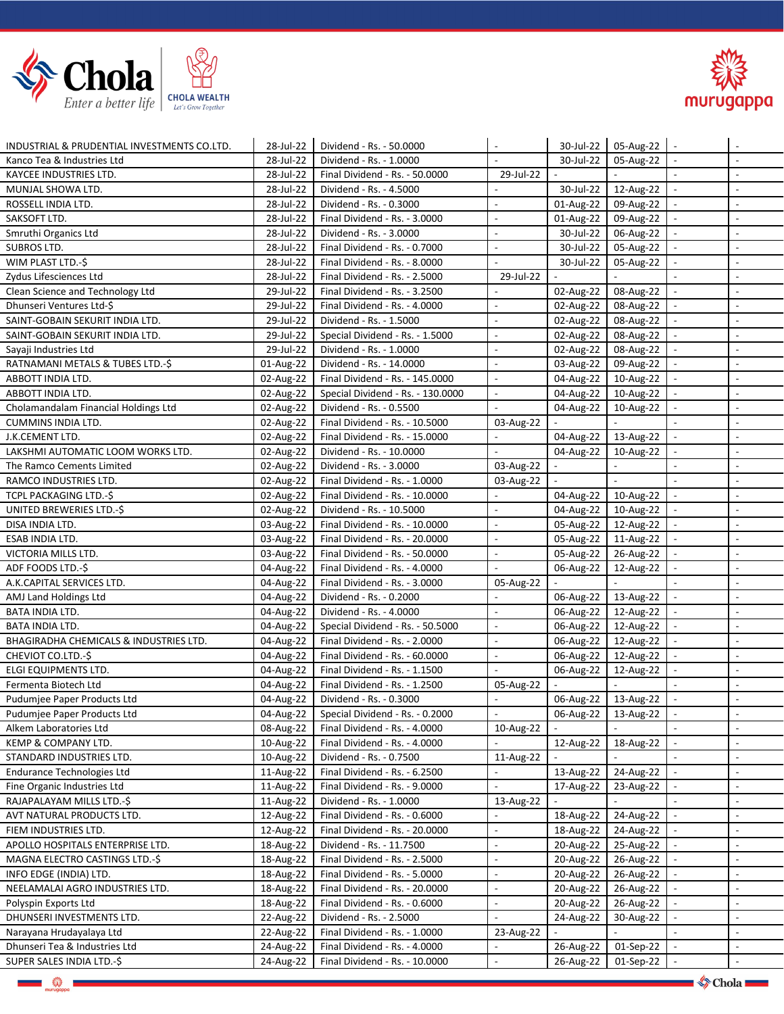



| INDUSTRIAL & PRUDENTIAL INVESTMENTS CO.LTD.       | 28-Jul-22 | Dividend - Rs. - 50.0000          |                          | 30-Jul-22                | $05$ -Aug-22   -      |                          | $\overline{\phantom{a}}$ |
|---------------------------------------------------|-----------|-----------------------------------|--------------------------|--------------------------|-----------------------|--------------------------|--------------------------|
| Kanco Tea & Industries Ltd                        | 28-Jul-22 | Dividend - Rs. - 1.0000           | $\overline{a}$           | 30-Jul-22                | 05-Aug-22             | $\blacksquare$           | $\mathbb{L}$             |
| KAYCEE INDUSTRIES LTD.                            | 28-Jul-22 | Final Dividend - Rs. - 50.0000    | 29-Jul-22                | $\overline{a}$           |                       | $\mathbf{r}$             | $\blacksquare$           |
| MUNJAL SHOWA LTD.                                 | 28-Jul-22 | Dividend - Rs. - 4.5000           |                          | 30-Jul-22                | 12-Aug-22             | $\overline{\phantom{a}}$ | $\overline{\phantom{a}}$ |
| ROSSELL INDIA LTD.                                | 28-Jul-22 | Dividend - Rs. - 0.3000           | $\overline{a}$           | 01-Aug-22                | 09-Aug-22             | $\blacksquare$           | $\overline{\phantom{a}}$ |
| SAKSOFT LTD.                                      | 28-Jul-22 | Final Dividend - Rs. - 3.0000     | $\mathcal{L}$            | 01-Aug-22                | 09-Aug-22             | $\sim$                   | $\blacksquare$           |
| Smruthi Organics Ltd                              | 28-Jul-22 | Dividend - Rs. - 3.0000           | $\blacksquare$           | 30-Jul-22                | 06-Aug-22             | $\sim$                   | $\overline{\phantom{a}}$ |
| SUBROS LTD.                                       | 28-Jul-22 | Final Dividend - Rs. - 0.7000     | $\overline{a}$           | 30-Jul-22                | 05-Aug-22             |                          | $\overline{\phantom{a}}$ |
| WIM PLAST LTD.-\$                                 | 28-Jul-22 | Final Dividend - Rs. - 8.0000     |                          | 30-Jul-22                | 05-Aug-22             |                          | $\overline{\phantom{a}}$ |
| Zydus Lifesciences Ltd                            | 28-Jul-22 | Final Dividend - Rs. - 2.5000     | 29-Jul-22                | $\bar{\phantom{a}}$      |                       |                          | $\sim$                   |
| Clean Science and Technology Ltd                  | 29-Jul-22 | Final Dividend - Rs. - 3.2500     | $\overline{a}$           | 02-Aug-22                | 08-Aug-22             |                          | $\overline{\phantom{a}}$ |
| Dhunseri Ventures Ltd-\$                          | 29-Jul-22 | Final Dividend - Rs. - 4.0000     | $\overline{a}$           | 02-Aug-22                | 08-Aug-22             | $\overline{\phantom{a}}$ | $\blacksquare$           |
| SAINT-GOBAIN SEKURIT INDIA LTD.                   | 29-Jul-22 | Dividend - Rs. - 1.5000           | $\overline{a}$           | 02-Aug-22                | 08-Aug-22             |                          | $\blacksquare$           |
| SAINT-GOBAIN SEKURIT INDIA LTD.                   | 29-Jul-22 | Special Dividend - Rs. - 1.5000   | $\overline{a}$           | 02-Aug-22                | 08-Aug-22             |                          | $\overline{\phantom{a}}$ |
| Sayaji Industries Ltd                             | 29-Jul-22 | Dividend - Rs. - 1.0000           | $\overline{a}$           | 02-Aug-22                | 08-Aug-22             |                          | $\overline{\phantom{a}}$ |
| RATNAMANI METALS & TUBES LTD.-\$                  | 01-Aug-22 | Dividend - Rs. - 14.0000          | $\blacksquare$           | 03-Aug-22                | 09-Aug-22             | $\sim$                   | $\overline{\phantom{a}}$ |
| ABBOTT INDIA LTD.                                 | 02-Aug-22 | Final Dividend - Rs. - 145.0000   | $\overline{\phantom{a}}$ | 04-Aug-22                | 10-Aug-22             |                          | $\overline{\phantom{a}}$ |
| ABBOTT INDIA LTD.                                 | 02-Aug-22 | Special Dividend - Rs. - 130.0000 | $\overline{a}$           | 04-Aug-22                | 10-Aug-22             |                          | $\overline{a}$           |
| Cholamandalam Financial Holdings Ltd              | 02-Aug-22 | Dividend - Rs. - 0.5500           |                          | 04-Aug-22                | 10-Aug-22             |                          | $\overline{\phantom{a}}$ |
| <b>CUMMINS INDIA LTD.</b>                         | 02-Aug-22 | Final Dividend - Rs. - 10.5000    | 03-Aug-22                |                          |                       |                          | $\overline{a}$           |
| J.K.CEMENT LTD.                                   | 02-Aug-22 | Final Dividend - Rs. - 15.0000    | $\overline{a}$           | 04-Aug-22                | 13-Aug-22             | $\overline{a}$           | $\overline{a}$           |
| LAKSHMI AUTOMATIC LOOM WORKS LTD.                 | 02-Aug-22 | Dividend - Rs. - 10.0000          | $\overline{a}$           | 04-Aug-22                | 10-Aug-22             |                          | $\overline{\phantom{a}}$ |
| The Ramco Cements Limited                         | 02-Aug-22 | Dividend - Rs. - 3.0000           | 03-Aug-22                | $\overline{\phantom{a}}$ |                       | $\overline{\phantom{a}}$ | $\overline{\phantom{a}}$ |
| RAMCO INDUSTRIES LTD.                             | 02-Aug-22 | Final Dividend - Rs. - 1.0000     | 03-Aug-22                | $\overline{\phantom{a}}$ |                       |                          | $\overline{\phantom{a}}$ |
| TCPL PACKAGING LTD.-\$                            | 02-Aug-22 | Final Dividend - Rs. - 10.0000    |                          | 04-Aug-22                | 10-Aug-22             | $\overline{\phantom{a}}$ | $\overline{\phantom{a}}$ |
| UNITED BREWERIES LTD.-\$                          | 02-Aug-22 | Dividend - Rs. - 10.5000          | $\overline{\phantom{a}}$ | 04-Aug-22                | 10-Aug-22             | $\blacksquare$           | $\overline{\phantom{a}}$ |
| DISA INDIA LTD.                                   | 03-Aug-22 | Final Dividend - Rs. - 10.0000    | $\overline{\phantom{a}}$ |                          | 05-Aug-22   12-Aug-22 |                          | $\blacksquare$           |
| ESAB INDIA LTD.                                   | 03-Aug-22 | Final Dividend - Rs. - 20.0000    | $\overline{a}$           |                          | 05-Aug-22   11-Aug-22 |                          | $\overline{a}$           |
| VICTORIA MILLS LTD.                               | 03-Aug-22 | Final Dividend - Rs. - 50.0000    |                          | 05-Aug-22                | 26-Aug-22             |                          | $\blacksquare$           |
| ADF FOODS LTD.-\$                                 | 04-Aug-22 | Final Dividend - Rs. - 4.0000     | $\overline{a}$           | 06-Aug-22                | 12-Aug-22             |                          | $\sim$                   |
| A.K.CAPITAL SERVICES LTD.                         | 04-Aug-22 | Final Dividend - Rs. - 3.0000     | 05-Aug-22                | $\overline{a}$           |                       | $\overline{a}$           | $\overline{\phantom{a}}$ |
| AMJ Land Holdings Ltd                             | 04-Aug-22 | Dividend - Rs. - 0.2000           |                          | 06-Aug-22                | 13-Aug-22             |                          | $\overline{a}$           |
| <b>BATA INDIA LTD.</b>                            | 04-Aug-22 | Dividend - Rs. - 4.0000           | $\overline{a}$           | 06-Aug-22                | 12-Aug-22             |                          | $\overline{\phantom{a}}$ |
| <b>BATA INDIA LTD.</b>                            | 04-Aug-22 | Special Dividend - Rs. - 50.5000  | $\overline{\phantom{a}}$ | 06-Aug-22                | 12-Aug-22             | $\overline{\phantom{a}}$ | $\blacksquare$           |
| <b>BHAGIRADHA CHEMICALS &amp; INDUSTRIES LTD.</b> | 04-Aug-22 | Final Dividend - Rs. - 2.0000     | $\overline{\phantom{a}}$ | 06-Aug-22                | 12-Aug-22             | $\sim$                   | $\overline{\phantom{a}}$ |
| CHEVIOT CO.LTD.-\$                                | 04-Aug-22 | Final Dividend - Rs. - 60.0000    | $\blacksquare$           | 06-Aug-22                | 12-Aug-22             |                          | $\overline{\phantom{a}}$ |
| ELGI EQUIPMENTS LTD.                              | 04-Aug-22 | Final Dividend - Rs. - 1.1500     |                          | 06-Aug-22                | 12-Aug-22             |                          | $\overline{a}$           |
| Fermenta Biotech Ltd                              | 04-Aug-22 | Final Dividend - Rs. - 1.2500     | 05-Aug-22                |                          |                       |                          | $\overline{\phantom{a}}$ |
| Pudumjee Paper Products Ltd                       | 04-Aug-22 | Dividend - Rs. - 0.3000           |                          | 06-Aug-22                | 13-Aug-22             |                          | $\overline{\phantom{a}}$ |
| Pudumjee Paper Products Ltd                       | 04-Aug-22 | Special Dividend - Rs. - 0.2000   |                          | 06-Aug-22                | 13-Aug-22             |                          | $\blacksquare$           |
| Alkem Laboratories Ltd                            | 08-Aug-22 | Final Dividend - Rs. - 4.0000     | 10-Aug-22                |                          |                       |                          | $\blacksquare$           |
| KEMP & COMPANY LTD.                               | 10-Aug-22 | Final Dividend - Rs. - 4.0000     |                          | 12-Aug-22                | 18-Aug-22             | $\overline{\phantom{a}}$ | $\blacksquare$           |
| STANDARD INDUSTRIES LTD.                          | 10-Aug-22 | Dividend - Rs. - 0.7500           | 11-Aug-22                |                          |                       |                          | $\overline{\phantom{a}}$ |
| <b>Endurance Technologies Ltd</b>                 | 11-Aug-22 | Final Dividend - Rs. - 6.2500     |                          | 13-Aug-22                | 24-Aug-22             |                          | $\blacksquare$           |
| Fine Organic Industries Ltd                       | 11-Aug-22 | Final Dividend - Rs. - 9.0000     |                          | 17-Aug-22                | 23-Aug-22             |                          | $\overline{\phantom{a}}$ |
| RAJAPALAYAM MILLS LTD.-\$                         | 11-Aug-22 | Dividend - Rs. - 1.0000           | 13-Aug-22                |                          |                       |                          | $\overline{\phantom{a}}$ |
| AVT NATURAL PRODUCTS LTD.                         | 12-Aug-22 | Final Dividend - Rs. - 0.6000     |                          | 18-Aug-22                | 24-Aug-22             |                          | $\blacksquare$           |
| FIEM INDUSTRIES LTD.                              | 12-Aug-22 | Final Dividend - Rs. - 20.0000    |                          | 18-Aug-22                | 24-Aug-22             |                          | $\overline{\phantom{a}}$ |
| APOLLO HOSPITALS ENTERPRISE LTD.                  | 18-Aug-22 | Dividend - Rs. - 11.7500          | $\overline{a}$           | 20-Aug-22                | 25-Aug-22             |                          | $\overline{\phantom{a}}$ |
| MAGNA ELECTRO CASTINGS LTD.-\$                    | 18-Aug-22 | Final Dividend - Rs. - 2.5000     | $\overline{\phantom{a}}$ | 20-Aug-22                | 26-Aug-22             |                          | $\sim$                   |
| INFO EDGE (INDIA) LTD.                            | 18-Aug-22 | Final Dividend - Rs. - 5.0000     | $\overline{\phantom{a}}$ | 20-Aug-22                | 26-Aug-22             |                          | $\blacksquare$           |
| NEELAMALAI AGRO INDUSTRIES LTD.                   | 18-Aug-22 | Final Dividend - Rs. - 20.0000    | $\overline{\phantom{a}}$ | 20-Aug-22                | 26-Aug-22             |                          | $\overline{\phantom{a}}$ |
| Polyspin Exports Ltd                              | 18-Aug-22 | Final Dividend - Rs. - 0.6000     | $\overline{\phantom{a}}$ | 20-Aug-22                | 26-Aug-22             |                          | $\blacksquare$           |
| DHUNSERI INVESTMENTS LTD.                         | 22-Aug-22 | Dividend - Rs. - 2.5000           | $\overline{a}$           | 24-Aug-22                | 30-Aug-22             |                          | $\blacksquare$           |
| Narayana Hrudayalaya Ltd                          | 22-Aug-22 | Final Dividend - Rs. - 1.0000     | 23-Aug-22                |                          |                       |                          | $\overline{\phantom{a}}$ |
| Dhunseri Tea & Industries Ltd                     | 24-Aug-22 | Final Dividend - Rs. - 4.0000     |                          | 26-Aug-22                | 01-Sep-22             |                          | $\overline{\phantom{a}}$ |
| SUPER SALES INDIA LTD.-\$                         | 24-Aug-22 | Final Dividend - Rs. - 10.0000    |                          | 26-Aug-22                | 01-Sep-22             |                          |                          |
|                                                   |           |                                   |                          |                          |                       |                          |                          |

泰

 $\diamond$  Chola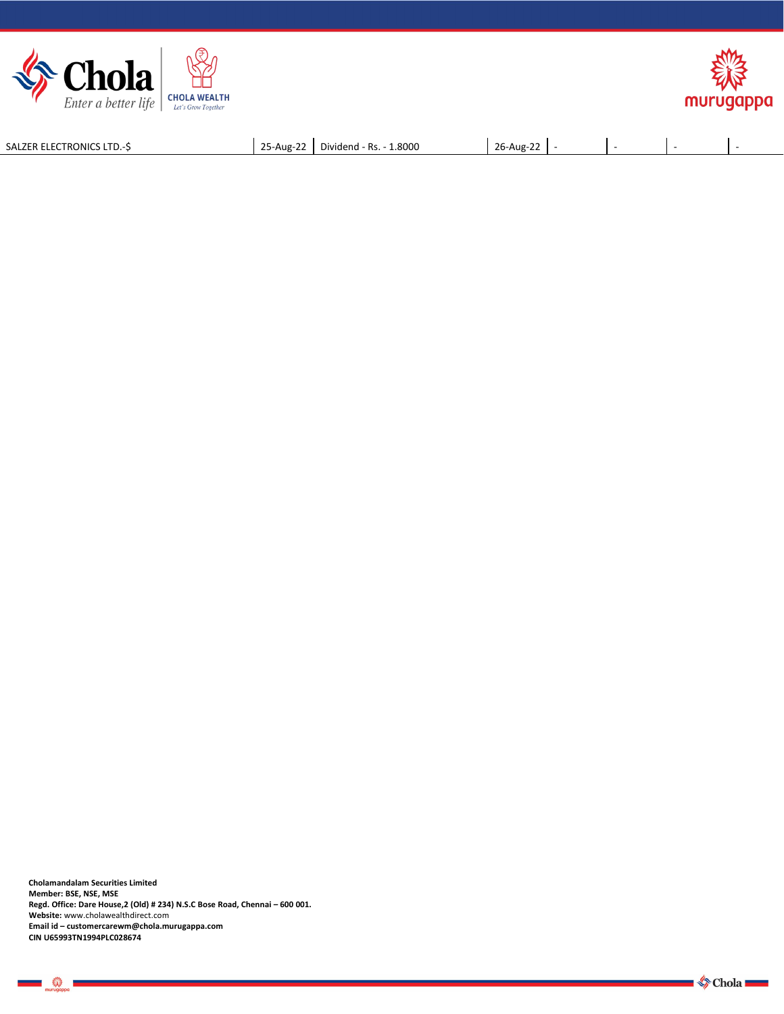



SALZER ELECTRONICS LTD.-\$ 25-Aug-22 Dividend - Rs. - 1.8000 26-Aug-22 -

**Cholamandalam Securities Limited Member: BSE, NSE, MSE Regd. Office: Dare House,2 (Old) # 234) N.S.C Bose Road, Chennai – 600 001. Website:** [www.cholawealthdirect.com](http://www.cholawealthdirect.com) **Email id –customercarewm@chola.murugappa.com CIN U65993TN1994PLC028674**